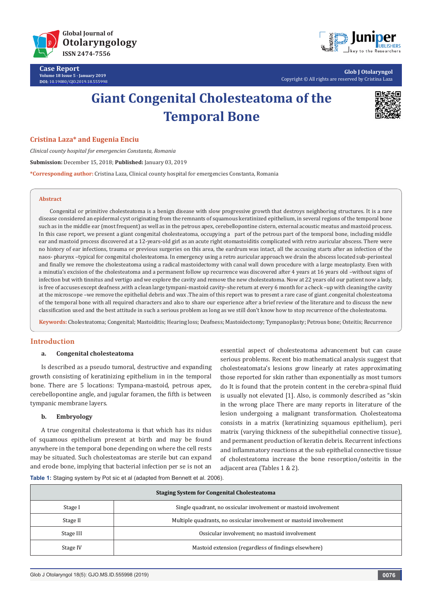

**Case Report Volume 18 Issue 5 - January 2019 DOI:** [10.19080/GJO.2019.18.555998](http://dx.doi.org/10.19080/GJO.2019.18.555998)



**Glob J Otolaryngol** Copyright © All rights are reserved by Cristina Laza

# **Giant Congenital Cholesteatoma of the Temporal Bone**



#### **Cristina Laza\* and Eugenia Enciu**

*Clinical county hospital for emergencies Constanta, Romania* **Submission:** December 15, 2018; **Published:** January 03, 2019 **\*Corresponding author:** Cristina Laza, Clinical county hospital for emergencies Constanta, Romania

#### **Abstract**

Congenital or primitive cholesteatoma is a benign disease with slow progressive growth that destroys neighboring structures. It is a rare disease considered an epidermal cyst originating from the remnants of squamous keratinized epithelium, in several regions of the temporal bone such as in the middle ear (most frequent) as well as in the petrous apex, cerebellopontine cistern, external acoustic meatus and mastoid process. In this case report, we present a giant congenital cholesteatoma, occupying a part of the petrous part of the temporal bone, including middle ear and mastoid process discovered at a 12-years-old girl as an acute right otomastoiditis complicated with retro auricular abscess. There were no history of ear infections, trauma or previous surgeries on this area, the eardrum was intact, all the accusing starts after an infection of the naos- pharynx –typical for congenital cholesteatoma. In emergency using a retro auricular approach we drain the abscess located sub-periosteal and finally we remove the cholesteatoma using a radical mastoidectomy with canal wall down procedure with a large meatoplasty. Even with a minutia's excision of the cholesteatoma and a permanent follow up recurrence was discovered after 4 years at 16 years old –without signs of infection but with tinnitus and vertigo and we explore the cavity and remove the new cholesteatoma. Now at 22 years old our patient now a lady, is free of accuses except deafness ,with a clean large tympani-mastoid cavity–she return at every 6 month for a check –up with cleaning the cavity at the microscope –we remove the epithelial debris and wax .The aim of this report was to present a rare case of giant .congenital cholesteatoma of the temporal bone with all required characters and also to share our experience after a brief review of the literature and to discuss the new classification used and the best attitude in such a serious problem as long as we still don't know how to stop recurrence of the cholesteatoma.

**Keywords:** Cholesteatoma; Congenital; Mastoiditis; Hearing loss; Deafness; Mastoidectomy; Tympanoplasty; Petrous bone; Osteitis; Recurrence

#### **Introduction**

#### **a. Congenital [cholesteatoma](http://www.emedmd.com/content/cholesteatoma-acquired)**

Is described as a pseudo tumoral, destructive and expanding growth consisting of keratinizing epithelium in in the temporal bone. There are 5 locations: Tympana-mastoid, petrous apex, cerebellopontine angle, and jugular foramen, the fifth is between tympanic membrane layers.

# **b. Embryology**

A true congenital cholesteatoma is that which has its nidus of squamous epithelium present at birth and may be found anywhere in the temporal bone depending on where the cell rests may be situated. Such cholesteatomas are sterile but can expand and erode bone, implying that bacterial infection per se is not an

essential aspect of cholesteatoma advancement but can cause serious problems. Recent bio mathematical analysis suggest that cholesteatomata's lesions grow linearly at rates approximating those reported for skin rather than exponentially as most tumors do It is found that the protein content in the cerebra-spinal fluid is usually not elevated [1]. Also, is commonly described as "skin in the wrong place There are many reports in literature of the lesion undergoing a malignant transformation. Cholesteatoma consists in a matrix (keratinizing squamous epithelium), peri matrix (varying thickness of the subepithelial connective tissue), and permanent production of keratin debris. Recurrent infections and inflammatory reactions at the sub epithelial connective tissue of cholesteatoma increase the bone resorption/osteitis in the adjacent area (Tables 1 & 2).

| Table 1: Staging system by Pot sic et al (adapted from Bennett et al. 2006). |  |  |  |  |
|------------------------------------------------------------------------------|--|--|--|--|
|------------------------------------------------------------------------------|--|--|--|--|

| <b>Staging System for Congenital Cholesteatoma</b> |                                                                     |  |
|----------------------------------------------------|---------------------------------------------------------------------|--|
| Stage I                                            | Single quadrant, no ossicular involvement or mastoid involvement    |  |
| Stage II                                           | Multiple quadrants, no ossicular involvement or mastoid involvement |  |
| Stage III                                          | Ossicular involvement; no mastoid involvement                       |  |
| Stage IV                                           | Mastoid extension (regardless of findings elsewhere)                |  |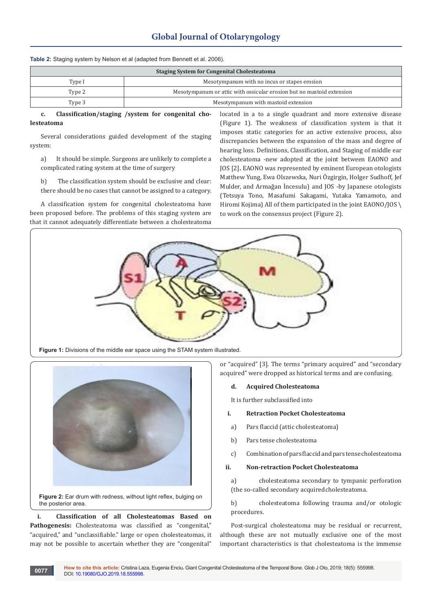# **Global Journal of Otolaryngology**

| <b>Staging System for Congenital Cholesteatoma</b> |                                                                       |  |
|----------------------------------------------------|-----------------------------------------------------------------------|--|
| Type I                                             | Mesotympanum with no incus or stapes erosion                          |  |
| Type 2                                             | Mesotympanum or attic with ossicular erosion but no mastoid extension |  |
| Type 3                                             | Mesotympanum with mastoid extension                                   |  |

**Table 2:** Staging system by Nelson et al (adapted from Bennett et al. 2006).

**c. Classification/staging /system for congenital cholesteatoma**

Several considerations guided development of the staging system:

a) It should be simple. Surgeons are unlikely to complete a complicated rating system at the time of surgery

b) The classification system should be exclusive and clear: there should be no cases that cannot be assigned to a category.

A classification system for congenital cholesteatoma have been proposed before. The problems of this staging system are that it cannot adequately differentiate between a cholesteatoma

located in a to a single quadrant and more extensive disease (Figure 1). The weakness of classification system is that it imposes static categories for an active extensive process, also discrepancies between the expansion of the mass and degree of hearing loss. Definitions, Classification, and Staging of middle ear cholesteatoma -new adopted at the joint between EAONO and JOS [2]**.** EAONO was represented by eminent European otologists Matthew Yung, Ewa Olszewska, Nuri Özgirgin, Holger Sudhoff, Jef Mulder, and Armağan İncesulu) and JOS -by Japanese otologists (Tetsuya Tono, Masafumi Sakagami, Yutaka Yamamoto, and Hiromi Kojima) All of them participated in the joint EAONO/JOS \ to work on the consensus project (Figure 2).



**Figure 1:** Divisions of the middle ear space using the STAM system illustrated.



the posterior area.

**i. Classification of all Cholesteatomas Based on**  Pathogenesis: Cholesteatoma was classified as "congenital," "acquired," and "unclassifiable." large or open cholesteatomas, it may not be possible to ascertain whether they are "congenital"

or "acquired" [3]. The terms "primary acquired" and "secondary acquired" were dropped as historical terms and are confusing.

#### **d. Acquired Cholesteatoma**

It is further subclassified into

#### **i. Retraction Pocket Cholesteatoma**

- a) Pars flaccid (attic cholesteatoma)
- b) Pars tense cholesteatoma
- c) Combination of pars flaccid and pars tense cholesteatoma

#### **ii. Non-retraction Pocket Cholesteatoma**

a) cholesteatoma secondary to tympanic perforation (the so-called secondary acquired cholesteatoma.

b) cholesteatoma following trauma and/or otologic procedures.

Post-surgical cholesteatoma may be residual or recurrent, although these are not mutually exclusive one of the most important characteristics is that cholesteatoma is the immense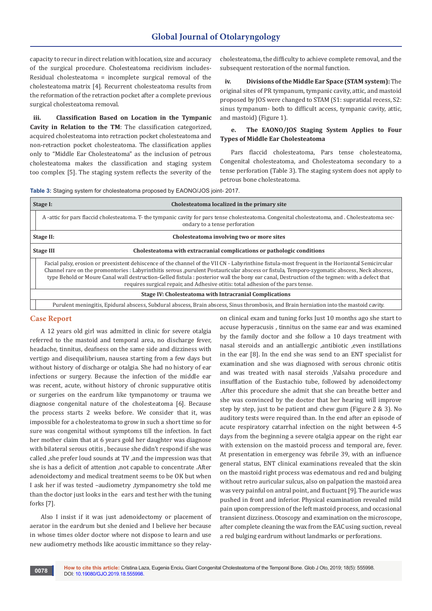# **Global Journal of Otolaryngology**

capacity to recur in direct relation with location, size and accuracy of the surgical procedure. Cholesteatoma recidivism includes-Residual cholesteatoma = incomplete surgical removal of the cholesteatoma matrix [4]. Recurrent cholesteatoma results from the reformation of the retraction pocket after a complete previous surgical cholesteatoma removal.

**iii. Classification Based on Location in the Tympanic Cavity in Relation to the TM**: The classification categorized, acquired cholesteatoma into retraction pocket cholesteatoma and non-retraction pocket cholesteatoma. The classification applies only to "Middle Ear Cholesteatoma" as the inclusion of petrous cholesteatoma makes the classification and staging system too complex [5]. The staging system reflects the severity of the

cholesteatoma, the difficulty to achieve complete removal, and the subsequent restoration of the normal function.

**iv. Divisions of the Middle Ear Space (STAM system):** The original sites of PR tympanum, tympanic cavity, attic, and mastoid proposed by JOS were changed to STAM (S1: supratidal recess, S2: sinus tympanum- both to difficult access, tympanic cavity, attic, and mastoid) (Figure 1).

# **e. The EAONO/JOS Staging System Applies to Four Types of Middle Ear Cholesteatoma**

Pars flaccid cholesteatoma, Pars tense cholesteatoma, Congenital cholesteatoma, and Cholesteatoma secondary to a tense perforation (Table 3). The staging system does not apply to petrous bone cholesteatoma.

**Table 3:** Staging system for cholesteatoma proposed by EAONO/JOS joint- 2017.

| Stage I:                                                                                                                                                                                                                                                                                                                                                                                                                                                                                                                             | Cholesteatoma localized in the primary site                                                                                                                                      |  |  |
|--------------------------------------------------------------------------------------------------------------------------------------------------------------------------------------------------------------------------------------------------------------------------------------------------------------------------------------------------------------------------------------------------------------------------------------------------------------------------------------------------------------------------------------|----------------------------------------------------------------------------------------------------------------------------------------------------------------------------------|--|--|
|                                                                                                                                                                                                                                                                                                                                                                                                                                                                                                                                      | A -attic for pars flaccid cholesteatoma. T- the tympanic cavity for pars tense cholesteatoma. Congenital cholesteatoma, and. Cholesteatoma sec-<br>ondary to a tense perforation |  |  |
| Cholesteatoma involving two or more sites<br>Stage II:                                                                                                                                                                                                                                                                                                                                                                                                                                                                               |                                                                                                                                                                                  |  |  |
| <b>Stage III</b>                                                                                                                                                                                                                                                                                                                                                                                                                                                                                                                     | Cholesteatoma with extracranial complications or pathologic conditions                                                                                                           |  |  |
| Facial palsy, erosion or preexistent dehiscence of the channel of the VII CN - Labyrinthine fistula-most frequent in the Horizontal Semicircular<br>Channel rare on the promontories : Labyrinthitis serous ,purulent Postauricular abscess or fistula, Temporo-zygomatic abscess, Neck abscess,<br>type Behold or Moure Canal wall destruction-Gelled fistula: posterior wall the bony ear canal, Destruction of the tegmen: with a defect that<br>requires surgical repair, and Adhesive otitis: total adhesion of the pars tense. |                                                                                                                                                                                  |  |  |
| Stage IV: Cholesteatoma with Intracranial Complications                                                                                                                                                                                                                                                                                                                                                                                                                                                                              |                                                                                                                                                                                  |  |  |
|                                                                                                                                                                                                                                                                                                                                                                                                                                                                                                                                      | Purulent meningitis, Epidural abscess, Subdural abscess, Brain abscess, Sinus thrombosis, and Brain herniation into the mastoid cavity.                                          |  |  |

### **Case Report**

A 12 years old girl was admitted in clinic for severe otalgia referred to the mastoid and temporal area, no discharge fever, headache, tinnitus, deafness on the same side and dizziness with vertigo and disequilibrium, nausea starting from a few days but without history of discharge or otalgia. She had no history of ear infections or surgery. Because the infection of the middle ear was recent, acute, without history of chronic suppurative otitis or surgeries on the eardrum like tympanotomy or trauma we diagnose congenital nature of the cholesteatoma [6]. Because the process starts 2 weeks before. We consider that it, was impossible for a cholesteatoma to grow in such a short time so for sure was congenital without symptoms till the infection. In fact her mother claim that at 6 years gold her daughter was diagnose with bilateral serous otitis , because she didn't respond if she was called ,she prefer loud sounds at TV ,and the impression was that she is has a deficit of attention ,not capable to concentrate .After adenoidectomy and medical treatment seems to be OK but when I ask her if was tested –audiometry ,tympanometry she told me than the doctor just looks in the ears and test her with the tuning forks [7].

Also I insist if it was just adenoidectomy or placement of aerator in the eardrum but she denied and I believe her because in whose times older doctor where not dispose to learn and use new audiometry methods like acoustic immittance so they relayon clinical exam and tuning forks Just 10 months ago she start to accuse hyperacusis , tinnitus on the same ear and was examined by the family doctor and she follow a 10 days treatment with nasal steroids and an antiallergic ,antibiotic ,even instillations in the ear [8]. In the end she was send to an ENT specialist for examination and she was diagnosed with serous chronic otitis and was treated with nasal steroids ,Valsalva procedure and insufflation of the Eustachio tube, followed by adenoidectomy .After this procedure she admit that she can breathe better and she was convinced by the doctor that her hearing will improve step by step, just to be patient and chew gum (Figure 2 & 3). No auditory tests were required than. In the end after an episode of acute respiratory catarrhal infection on the night between 4-5 days from the beginning a severe otalgia appear on the right ear with extension on the mastoid process and temporal are, fever. At presentation in emergency was febrile 39, with an influence general status, ENT clinical examinations revealed that the skin on the mastoid right process was edematous and red and bulging without retro auricular sulcus, also on palpation the mastoid area was very painful on antral point, and fluctuant [9]. The auricle was pushed in front and inferior. Physical examination revealed mild pain upon compression of the left mastoid process, and occasional transient dizziness. Otoscopy and examination on the microscope, after complete cleaning the wax from the EAC using suction, reveal a red bulging eardrum without landmarks or perforations.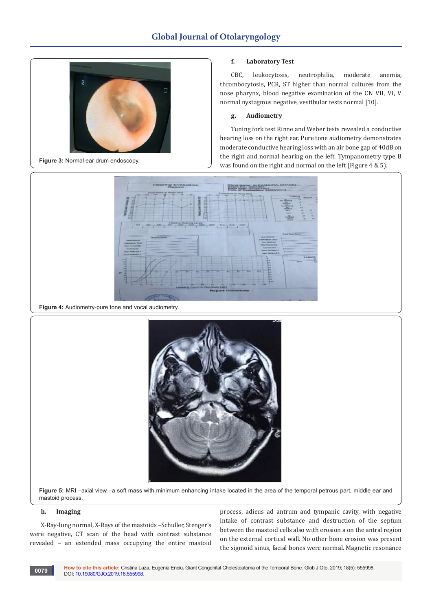

**Figure 3:** Normal ear drum endoscopy.

## **f. Laboratory Test**

CBC, leukocytosis, neutrophilia, moderate anemia, thrombocytosis, PCR, ST higher than normal cultures from the nose pharynx, blood negative examination of the CN VII, VI, V normal nystagmus negative, vestibular tests normal [10].

# **g. Audiometry**

Tuning fork test Rinne and Weber tests revealed a conductive hearing loss on the right ear. Pure tone audiometry demonstrates moderate conductive hearing loss with an air bone gap of 40dB on the right and normal hearing on the left. Tympanometry type B was found on the right and normal on the left (Figure 4 & 5).



**Figure 4:** Audiometry-pure tone and vocal audiometry.



**Figure 5:** MRI –axial view –a soft mass with minimum enhancing intake located in the area of the temporal petrous part, middle ear and mastoid process.

## **h. Imaging**

X-Ray-lung normal, X-Rays of the mastoids –Schuller, Stenger's were negative, CT scan of the head with contrast substance revealed – an extended mass occupying the entire mastoid

process, adieus ad antrum and tympanic cavity, with negative intake of contrast substance and destruction of the septum between the mastoid cells also with erosion a on the antral region on the external cortical wall. No other bone erosion was present the sigmoid sinus, facial bones were normal. Magnetic resonance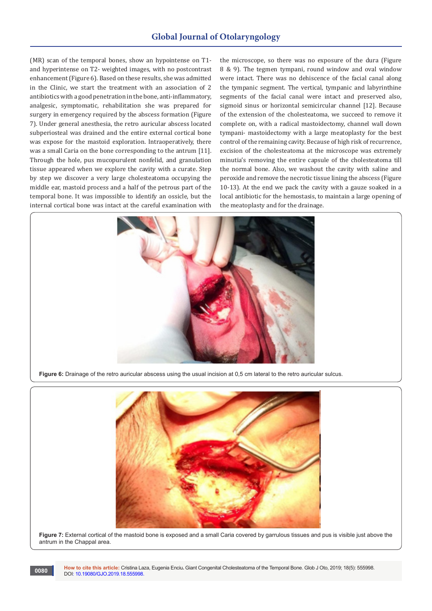(MR) scan of the temporal bones, show an hypointense on T1 and hyperintense on T2- weighted images, with no postcontrast enhancement (Figure 6). Based on these results, she was admitted in the Clinic, we start the treatment with an association of 2 antibiotics with a good penetration in the bone, anti-inflammatory, analgesic, symptomatic, rehabilitation she was prepared for surgery in emergency required by the abscess formation (Figure 7). Under general anesthesia, the retro auricular abscess located subperiosteal was drained and the entire external cortical bone was expose for the mastoid exploration. Intraoperatively, there was a small Caria on the bone corresponding to the antrum [11]. Through the hole, pus mucopurulent nonfelid, and granulation tissue appeared when we explore the cavity with a curate. Step by step we discover a very large cholesteatoma occupying the middle ear, mastoid process and a half of the petrous part of the temporal bone. It was impossible to identify an ossicle, but the internal cortical bone was intact at the careful examination with

the microscope, so there was no exposure of the dura (Figure 8 & 9). The tegmen tympani, round window and oval window were intact. There was no dehiscence of the facial canal along the tympanic segment. The vertical, tympanic and labyrinthine segments of the facial canal were intact and preserved also, sigmoid sinus or horizontal semicircular channel [12]. Because of the extension of the cholesteatoma, we succeed to remove it complete on, with a radical mastoidectomy, channel wall down tympani- mastoidectomy with a large meatoplasty for the best control of the remaining cavity. Because of high risk of recurrence, excision of the cholesteatoma at the microscope was extremely minutia's removing the entire capsule of the cholesteatoma till the normal bone. Also, we washout the cavity with saline and peroxide and remove the necrotic tissue lining the abscess (Figure 10-13). At the end we pack the cavity with a gauze soaked in a local antibiotic for the hemostasis, to maintain a large opening of the meatoplasty and for the drainage.



**Figure 6:** Drainage of the retro auricular abscess using the usual incision at 0,5 cm lateral to the retro auricular sulcus.



**Figure 7:** External cortical of the mastoid bone is exposed and a small Caria covered by garrulous tissues and pus is visible just above the antrum in the Chappal area.

**How to cite this article:** Cristina Laza, Eugenia Enciu**.** Giant Congenital Cholesteatoma of the Temporal Bone. Glob J Oto, 2019; 18(5): 555998. DOI: [10.19080/GJO.2019.18.555998](http://dx.doi.org/10.19080/GJO.2019.18.555998)

**0080**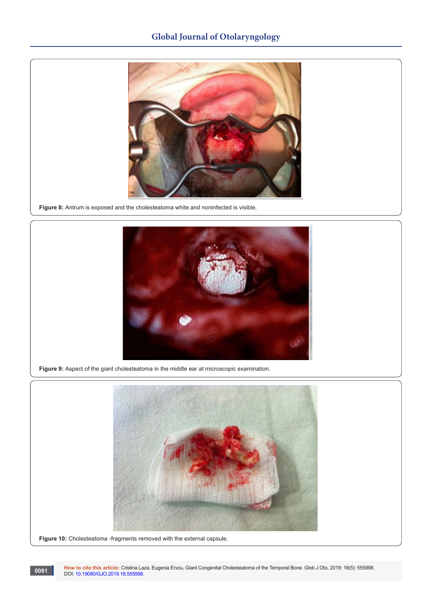

**Figure 8:** Antrum is exposed and the cholesteatoma white and noninfected is visible.



**Figure 9:** Aspect of the giant cholesteatoma in the middle ear at microscopic examination.



**How to cite this article:** Cristina Laza, Eugenia Enciu**.** Giant Congenital Cholesteatoma of the Temporal Bone. Glob J Oto, 2019; 18(5): 555998. **0081 Dow to cite this article: Cristina La**<br>DOI: [10.19080/GJO.2019.18.555998](http://dx.doi.org/10.19080/GJO.2019.18.555998).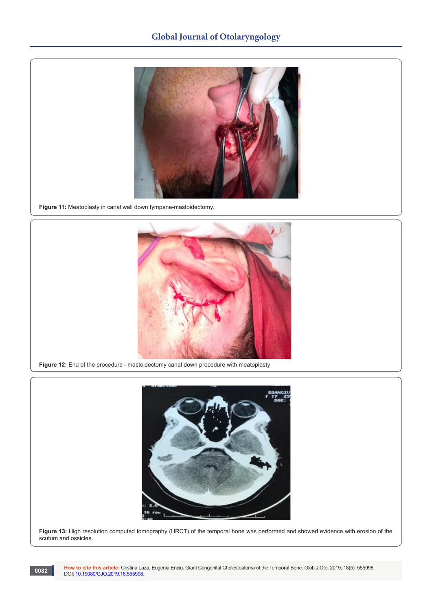

**Figure 11:** Meatoplasty in canal wall down tympana-mastoidectomy.



**Figure 12:** End of the procedure –mastoidectomy canal down procedure with meatoplasty



**Figure 13:** High resolution computed tomography (HRCT) of the temporal bone was performed and showed evidence with erosion of the scutum and ossicles.

**How to cite this article:** Cristina Laza, Eugenia Enciu**.** Giant Congenital Cholesteatoma of the Temporal Bone. Glob J Oto, 2019; 18(5): 555998. DOI: [10.19080/GJO.2019.18.555998](http://dx.doi.org/10.19080/GJO.2019.18.555998).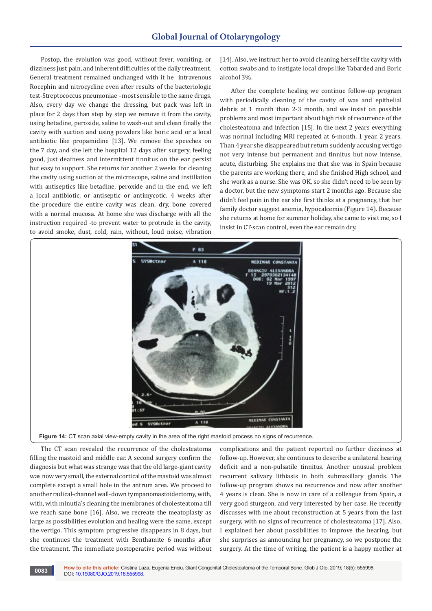Postop, the evolution was good, without fever, vomiting, or dizziness just pain, and inherent difficulties of the daily treatment. General treatment remained unchanged with it he intravenous Rocephin and nitrocycline even after results of the bacteriologic test-Streptococcus pneumoniae –most sensible to the same drugs. Also, every day we change the dressing, but pack was left in place for 2 days than step by step we remove it from the cavity, using betadine, peroxide, saline to wash-out and clean finally the cavity with suction and using powders like boric acid or a local antibiotic like propamidine [13]. We remove the speeches on the 7 day, and she left the hospital 12 days after surgery, feeling good, just deafness and intermittent tinnitus on the ear persist but easy to support. She returns for another 2 weeks for cleaning the cavity using suction at the microscope, saline and instillation with antiseptics like betadine, peroxide and in the end, we left a local antibiotic, or antiseptic or antimycotic. 4 weeks after the procedure the entire cavity was clean, dry, bone covered with a normal mucosa. At home she was discharge with all the instruction required -to prevent water to protrude in the cavity, to avoid smoke, dust, cold, rain, without, loud noise, vibration

[14]. Also, we instruct her to avoid cleaning herself the cavity with cotton swabs and to instigate local drops like Tabarded and Boric alcohol 3%.

After the complete healing we continue follow-up program with periodically cleaning of the cavity of was and epithelial debris at 1 month than 2-3 month, and we insist on possible problems and most important about high risk of recurrence of the cholesteatoma and infection [15]. In the next 2 years everything was normal including MRI repeated at 6-month, 1 year, 2 years. Than 4 year she disappeared but return suddenly accusing vertigo not very intense but permanent and tinnitus but now intense, acute, disturbing. She explains me that she was in Spain because the parents are working there, and she finished High school, and she work as a nurse. She was OK, so she didn't need to be seen by a doctor, but the new symptoms start 2 months ago. Because she didn't feel pain in the ear she first thinks at a pregnancy, that her family doctor suggest anemia, hypocalcemia (Figure 14). Because she returns at home for summer holiday, she came to visit me, so I insist in CT-scan control, even the ear remain dry.



The CT scan revealed the recurrence of the cholesteatoma filling the mastoid and middle ear. A second surgery confirm the diagnosis but what was strange was that the old large-giant cavity was now very small, the external cortical of the mastoid was almost complete except a small hole in the antrum area. We proceed to another radical-channel wall-down tympanomastoidectomy, with, with, with minutia's cleaning the membranes of cholesteatoma till we reach sane bone [16]. Also, we recreate the meatoplasty as large as possibilities evolution and healing were the same, except the vertigo. This symptom progressive disappears in 8 days, but she continues the treatment with Benthamite 6 months after the treatment. The immediate postoperative period was without complications and the patient reported no further dizziness at follow-up. However, she continues to describe a unilateral hearing deficit and a non-pulsatile tinnitus. Another unusual problem recurrent salivary lithiasis in both submaxillary glands. The follow-up program shows no recurrence and now after another 4 years is clean. She is now in care of a colleague from Spain, a very good sturgeon, and very interested by her case. He recently discusses with me about reconstruction at 5 years from the last surgery, with no signs of recurrence of cholesteatoma [17]. Also, I explained her about possibilities to improve the hearing, but she surprises as announcing her pregnancy, so we postpone the surgery. At the time of writing, the patient is a happy mother at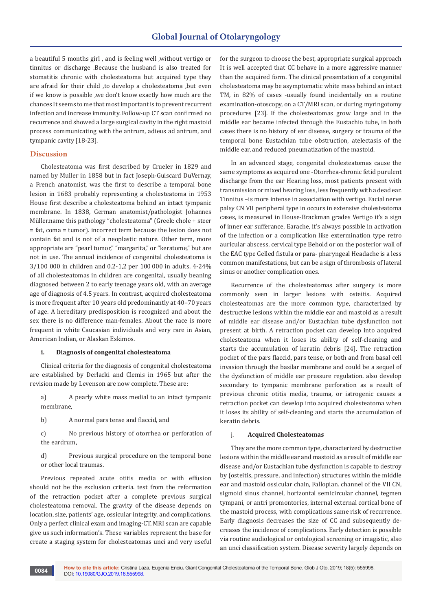a beautiful 5 months girl , and is feeling well ,without vertigo or tinnitus or discharge .Because the husband is also treated for stomatitis chronic with cholesteatoma but acquired type they are afraid for their child ,to develop a cholesteatoma ,but even if we know is possible ,we don't know exactly how much are the chances It seems to me that most important is to prevent recurrent infection and increase immunity. Follow-up CT scan confirmed no recurrence and showed a large surgical cavity in the right mastoid process communicating with the antrum, adieus ad antrum, and tympanic cavity [18-23].

# **Discussion**

Cholesteatoma was first described by Crueler in 1829 and named by Muller in 1858 but in fact Joseph-Guiscard DuVernay, a French anatomist, was the first to describe a temporal bone lesion in 1683 probably representing a cholesteatoma in 1953 House first describe a cholesteatoma behind an intact tympanic membrane. In 1838, German anatomist/pathologist Johannes Müller.name this pathology "cholesteatoma" (Greek: chole + steer = fat, coma = tumor). incorrect term because the lesion does not contain fat and is not of a neoplastic nature. Other term, more appropriate are "pearl tumor," "margarita," or "keratome," but are not in use. The annual incidence of congenital cholesteatoma is 3/100 000 in children and 0.2-1,2 per 100 000 in adults. 4-24% of all cholesteatomas in children are congenital, usually beaning diagnosed between 2 to early teenage years old, with an average age of diagnosis of 4.5 years. In contrast, acquired cholesteatoma is more frequent after 10 years old predominantly at 40–70 years of age. A hereditary predisposition is recognized and about the sex there is no difference man-females. About the race is more frequent in white Caucasian individuals and very rare in Asian, American Indian, or Alaskan Eskimos.

#### **i. Diagnosis of congenital cholesteatoma**

Clinical criteria for the diagnosis of congenital cholesteatoma are established by Derlacki and Clemis in 1965 but after the revision made by Levenson are now complete. These are:

a) A pearly white mass medial to an intact tympanic membrane,

b) A normal pars tense and flaccid, and

c) No previous history of otorrhea or perforation of the eardrum,

d) Previous surgical procedure on the temporal bone or other local traumas.

Previous repeated acute otitis media or with effusion should not be the exclusion criteria. test from the reformation of the retraction pocket after a complete previous surgical cholesteatoma removal. The gravity of the disease depends on location, size, patients' age, ossicular integrity, and complications. Only a perfect clinical exam and imaging-CT, MRI scan are capable give us such information's. These variables represent the base for create a staging system for cholesteatomas unci and very useful

for the surgeon to choose the best, appropriate surgical approach It is well accepted that CC behave in a more aggressive manner than the acquired form. The clinical presentation of a congenital cholesteatoma may be asymptomatic white mass behind an intact TM, in 82% of cases -usually found incidentally on a routine examination-otoscopy, on a CT/MRI scan, or during myringotomy procedures [23]. If the cholesteatomas grow large and in the middle ear became infected through the Eustachio tube, in both cases there is no history of ear disease, surgery or trauma of the temporal bone Eustachian tube obstruction, atelectasis of the middle ear, and reduced pneumatization of the mastoid.

In an advanced stage, congenital cholesteatomas cause the same symptoms as acquired one -Otorrhea-chronic fetid purulent discharge from the ear Hearing loss, most patients present with transmission or mixed hearing loss, less frequently with a dead ear. Tinnitus –is more intense in association with vertigo. Facial nerve palsy CN VII peripheral type in occurs in extensive cholesteatoma cases, is measured in House-Brackman grades Vertigo it's a sign of inner ear sufferance, Earache, it's always possible in activation of the infection or a complication like extermination type retro auricular abscess, cervical type Behold or on the posterior wall of the EAC type Gelled fistula or para- pharyngeal Headache is a less common manifestations, but can be a sign of thrombosis of lateral sinus or another complication ones.

Recurrence of the cholesteatomas after surgery is more commonly seen in larger lesions with osteitis. Acquired cholesteatomas are the more common type, characterized by destructive lesions within the middle ear and mastoid as a result of middle ear disease and/or Eustachian tube dysfunction not present at birth. A retraction pocket can develop into acquired cholesteatoma when it loses its ability of self-cleaning and starts the accumulation of keratin debris [24]. The retraction pocket of the pars flaccid, pars tense, or both and from basal cell invasion through the basilar membrane and could be a sequel of the dysfunction of middle ear pressure regulation. also develop secondary to tympanic membrane perforation as a result of previous chronic otitis media, trauma, or iatrogenic causes a retraction pocket can develop into acquired cholesteatoma when it loses its ability of self-cleaning and starts the accumulation of keratin debris.

# j. **Acquired Cholesteatomas**

They are the more common type, characterized by destructive lesions within the middle ear and mastoid as a result of middle ear disease and/or Eustachian tube dysfunction is capable to destroy by (osteitis, pressure, and infection) structures within the middle ear and mastoid ossicular chain, Fallopian. channel of the VII CN, sigmoid sinus channel, horizontal semicircular channel, tegmen tympani, or antri promontories, internal external cortical bone of the mastoid process, with complications same risk of recurrence. Early diagnosis decreases the size of CC and subsequently decreases the incidence of complications. Early detection is possible via routine audiological or ontological screening or imagistic, also an unci classification system. Disease severity largely depends on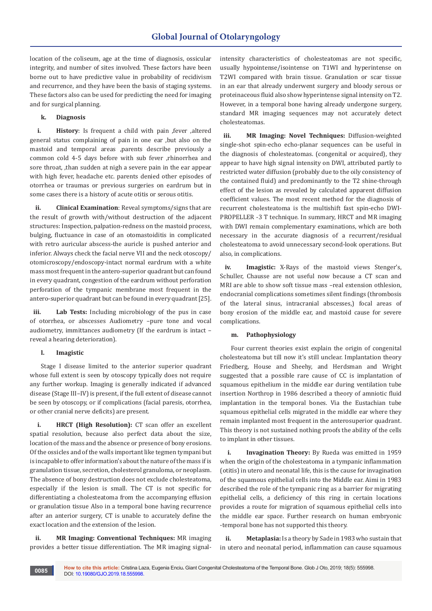location of the coliseum, age at the time of diagnosis, ossicular integrity, and number of sites involved. These factors have been borne out to have predictive value in probability of recidivism and recurrence, and they have been the basis of staging systems. These factors also can be used for predicting the need for imaging and for surgical planning.

# **k. Diagnosis**

**i. History**: Is frequent a child with pain ,fever ,altered general status complaining of pain in one ear ,but also on the mastoid and temporal areas ,parents describe previously a common cold 4-5 days before with sub fever ,rhinorrhea and sore throat, ,than sudden at nigh a severe pain in the ear appear with high fever, headache etc. parents denied other episodes of otorrhea or traumas or previous surgeries on eardrum but in some cases there is a history of acute otitis or serous otitis.

**ii. Clinical Examination**: Reveal symptoms/signs that are the result of growth with/without destruction of the adjacent structures: Inspection, palpation-redness on the mastoid process, bulging, fluctuance in case of an otomastoiditis in complicated with retro auricular abscess-the auricle is pushed anterior and inferior. Always check the facial nerve VII and the neck otoscopy/ otomicroscopy/endoscopy-intact normal eardrum with a white mass most frequent in the antero-superior quadrant but can found in every quadrant, congestion of the eardrum without perforation perforation of the tympanic membrane most frequent in the antero-superior quadrant but can be found in every quadrant [25].

**iii. Lab Tests:** Including microbiology of the pus in case of otorrhea, or abscesses Audiometry –pure tone and vocal audiometry, immittances audiometry (If the eardrum is intact – reveal a hearing deterioration).

#### **l. Imagistic**

Stage I disease limited to the anterior superior quadrant whose full extent is seen by otoscopy typically does not require any further workup. Imaging is generally indicated if advanced disease (Stage III–IV) is present, if the full extent of disease cannot be seen by otoscopy, or if complications (facial paresis, otorrhea, or other cranial nerve deficits) are present.

**i. HRCT (High Resolution):** CT scan offer an excellent spatial resolution, because also perfect data about the size, location of the mass and the absence or presence of bony erosions. Of the ossicles and of the walls important like tegmen tympani but is incapable to offer information's about the nature of the mass if is granulation tissue, secretion, cholesterol granuloma, or neoplasm. The absence of bony destruction does not exclude cholesteatoma, especially if the lesion is small. The CT is not specific for differentiating a cholesteatoma from the accompanying effusion or granulation tissue Also in a temporal bone having recurrence after an anterior surgery, CT is unable to accurately define the exact location and the extension of the lesion.

**ii. MR Imaging: Conventional Techniques:** MR imaging provides a better tissue differentiation. The MR imaging signalintensity characteristics of cholesteatomas are not specific, usually hypointense/isointense on T1WI and hyperintense on T2WI compared with brain tissue. Granulation or scar tissue in an ear that already underwent surgery and bloody serous or proteinaceous fluid also show hyperintense signal intensity on T2. However, in a temporal bone having already undergone surgery, standard MR imaging sequences may not accurately detect cholesteatomas.

**iii. MR Imaging: Novel Techniques:** Diffusion-weighted single-shot spin-echo echo-planar sequences can be useful in the diagnosis of cholesteatomas. (congenital or acquired), they appear to have high signal intensity on DWI, attributed partly to restricted water diffusion (probably due to the oily consistency of the contained fluid) and predominantly to the T2 shine-through effect of the lesion as revealed by calculated apparent diffusion coefficient values. The most recent method for the diagnosis of recurrent cholesteatoma is the multishift fast spin-echo DWI-PROPELLER -3 T technique. In summary, HRCT and MR imaging with DWI remain complementary examinations, which are both necessary in the accurate diagnosis of a recurrent/residual cholesteatoma to avoid unnecessary second-look operations. But also, in complications.

**iv. Imagistic:** X-Rays of the mastoid views Stenger's, Schuller, Chausse are not useful now because a CT scan and MRI are able to show soft tissue mass –real extension othlesion, endocranial complications sometimes silent findings (thrombosis of the lateral sinus, intracranial abscesses,) focal areas of bony erosion of the middle ear, and mastoid cause for severe complications.

#### **m. Pathophysiology**

Four current theories exist explain the origin of congenital cholesteatoma but till now it's still unclear. Implantation theory Friedberg, House and Sheehy, and Herdsman and Wright suggested that a possible rare cause of CC is implantation of squamous epithelium in the middle ear during ventilation tube insertion Northrop in 1986 described a theory of amniotic fluid implantation in the temporal bones. Via the Eustachian tube squamous epithelial cells migrated in the middle ear where they remain implanted most frequent in the anterosuperior quadrant. This theory is not sustained nothing proofs the ability of the cells to implant in other tissues.

**i. Invagination Theory:** By Rueda was emitted in 1959 when the origin of the cholesteatoma in a tympanic inflammation (otitis) in utero and neonatal life, this is the cause for invagination of the squamous epithelial cells into the Middle ear. Aimi in 1983 described the role of the tympanic ring as a barrier for migrating epithelial cells, a deficiency of this ring in certain locations provides a route for migration of squamous epithelial cells into the middle ear space. Further research on human embryonic -temporal bone has not supported this theory.

**ii. Metaplasia:** Is a theory by Sade in 1983 who sustain that in utero and neonatal period, inflammation can cause squamous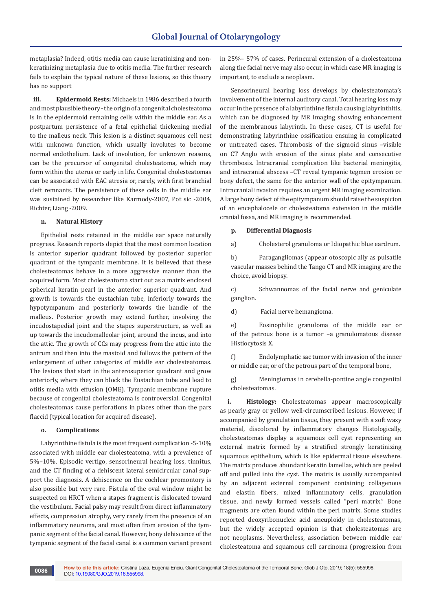metaplasia? Indeed, otitis media can cause keratinizing and nonkeratinizing metaplasia due to otitis media. The further research fails to explain the typical nature of these lesions, so this theory has no support

**iii. Epidermoid Rests:** Michaels in 1986 described a fourth and most plausible theory - the origin of a congenital cholesteatoma is in the epidermoid remaining cells within the middle ear. As a postpartum persistence of a fetal epithelial thickening medial to the malleus neck. This lesion is a distinct squamous cell nest with unknown function, which usually involutes to become normal endothelium. Lack of involution, for unknown reasons, can be the precursor of congenital cholesteatoma, which may form within the uterus or early in life. Congenital cholesteatomas can be associated with EAC atresia or, rarely, with first branchial cleft remnants. The persistence of these cells in the middle ear was sustained by researcher like Karmody-2007, Pot sic -2004, Richter, Liang -2009.

#### **n. Natural History**

Epithelial rests retained in the middle ear space naturally progress. Research reports depict that the most common location is anterior superior quadrant followed by posterior superior quadrant of the tympanic membrane. It is believed that these cholesteatomas behave in a more aggressive manner than the acquired form. Most cholesteatoma start out as a matrix enclosed spherical keratin pearl in the anterior superior quadrant. And growth is towards the eustachian tube, inferiorly towards the hypotympanum and posteriorly towards the handle of the malleus. Posterior growth may extend further, involving the incudostapedial joint and the stapes superstructure, as well as up towards the incudomalleolar joint, around the incus, and into the attic. The growth of CCs may progress from the attic into the antrum and then into the mastoid and follows the pattern of the enlargement of other categories of middle ear cholesteatomas. The lesions that start in the anterosuperior quadrant and grow anteriorly, where they can block the Eustachian tube and lead to otitis media with effusion (OME). Tympanic membrane rupture because of congenital cholesteatoma is controversial. Congenital cholesteatomas cause perforations in places other than the pars flaccid (typical location for acquired disease).

#### **o. Complications**

Labyrinthine fistula is the most frequent complication -5-10% associated with middle ear cholesteatoma, with a prevalence of 5%–10%. Episodic vertigo, sensorineural hearing loss, tinnitus, and the CT finding of a dehiscent lateral semicircular canal support the diagnosis. A dehiscence on the cochlear promontory is also possible but very rare. Fistula of the oval window might be suspected on HRCT when a stapes fragment is dislocated toward the vestibulum. Facial palsy may result from direct inflammatory effects, compression atrophy, very rarely from the presence of an inflammatory neuroma, and most often from erosion of the tympanic segment of the facial canal. However, bony dehiscence of the tympanic segment of the facial canal is a common variant present

in 25%– 57% of cases. Perineural extension of a cholesteatoma along the facial nerve may also occur, in which case MR imaging is important, to exclude a neoplasm.

Sensorineural hearing loss develops by cholesteatomata's involvement of the internal auditory canal. Total hearing loss may occur in the presence of a labyrinthine fistula causing labyrinthitis, which can be diagnosed by MR imaging showing enhancement of the membranous labyrinth. In these cases, CT is useful for demonstrating labyrinthine ossification ensuing in complicated or untreated cases. Thrombosis of the sigmoid sinus –visible on CT Anglo with erosion of the sinus plate and consecutive thrombosis. Intracranial complication like bacterial meningitis, and intracranial abscess –CT reveal tympanic tegmen erosion or bony defect, the same for the anterior wall of the epitympanum. Intracranial invasion requires an urgent MR imaging examination. A large bony defect of the epitympanum should raise the suspicion of an encephalocele or cholesteatoma extension in the middle cranial fossa, and MR imaging is recommended.

# **p. Differential Diagnosis**

a) Cholesterol granuloma or Idiopathic blue eardrum.

b) Paragangliomas (appear otoscopic ally as pulsatile vascular masses behind the Tango CT and MR imaging are the choice, avoid biopsy.

c) Schwannomas of the facial nerve and geniculate ganglion.

d) Facial nerve hemangioma.

e) Eosinophilic granuloma of the middle ear or of the petrous bone is a tumor –a granulomatous disease Histiocytosis X.

f) Endolymphatic sac tumor with invasion of the inner or middle ear, or of the petrous part of the temporal bone,

g) Meningiomas in cerebella-pontine angle congenital cholesteatomas.

**i. Histology:** Cholesteatomas appear macroscopically as pearly gray or yellow well-circumscribed lesions. However, if accompanied by granulation tissue, they present with a soft waxy material, discolored by inflammatory changes Histologically, cholesteatomas display a squamous cell cyst representing an external matrix formed by a stratified strongly keratinizing squamous epithelium, which is like epidermal tissue elsewhere. The matrix produces abundant keratin lamellas, which are peeled off and pulled into the cyst. The matrix is usually accompanied by an adjacent external component containing collagenous and elastin fibers, mixed inflammatory cells, granulation tissue, and newly formed vessels called "peri matrix." Bone fragments are often found within the peri matrix. Some studies reported deoxyribonucleic acid aneuploidy in cholesteatomas, but the widely accepted opinion is that cholesteatomas are not neoplasms. Nevertheless, association between middle ear cholesteatoma and squamous cell carcinoma (progression from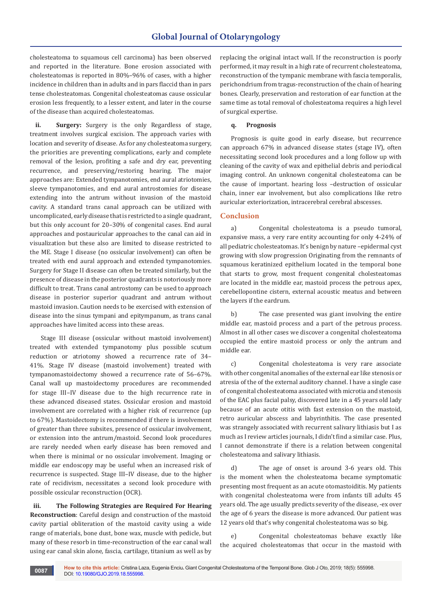cholesteatoma to squamous cell carcinoma) has been observed and reported in the literature. Bone erosion associated with cholesteatomas is reported in 80%–96% of cases, with a higher incidence in children than in adults and in pars flaccid than in pars tense cholesteatomas. Congenital cholesteatomas cause ossicular erosion less frequently, to a lesser extent, and later in the course of the disease than acquired cholesteatomas.

**ii. Surgery:** Surgery is the only Regardless of stage, treatment involves surgical excision. The approach varies with location and severity of disease. As for any cholesteatoma surgery, the priorities are preventing complications, early and complete removal of the lesion, profiting a safe and dry ear, preventing recurrence, and preserving/restoring hearing. The major approaches are: Extended tympanotomies, end aural atriotomies, sleeve tympanotomies, and end aural antrostomies for disease extending into the antrum without invasion of the mastoid cavity. A standard trans canal approach can be utilized with uncomplicated, early disease that is restricted to a single quadrant, but this only account for 20–30% of congenital cases. End aural approaches and postauricular approaches to the canal can aid in visualization but these also are limited to disease restricted to the ME. Stage I disease (no ossicular involvement) can often be treated with end aural approach and extended tympanotomies. Surgery for Stage II disease can often be treated similarly, but the presence of disease in the posterior quadrants is notoriously more difficult to treat. Trans canal antrostomy can be used to approach disease in posterior superior quadrant and antrum without mastoid invasion. Caution needs to be exercised with extension of disease into the sinus tympani and epitympanum, as trans canal approaches have limited access into these areas.

Stage III disease (ossicular without mastoid involvement) treated with extended tympanotomy plus possible scutum reduction or atriotomy showed a recurrence rate of 34– 41%. Stage IV disease (mastoid involvement) treated with tympanomastoidectomy showed a recurrence rate of 56–67%. Canal wall up mastoidectomy procedures are recommended for stage III–IV disease due to the high recurrence rate in these advanced diseased states. Ossicular erosion and mastoid involvement are correlated with a higher risk of recurrence (up to 67%). Mastoidectomy is recommended if there is involvement of greater than three subsites, presence of ossicular involvement, or extension into the antrum/mastoid. Second look procedures are rarely needed when early disease has been removed and when there is minimal or no ossicular involvement. Imaging or middle ear endoscopy may be useful when an increased risk of recurrence is suspected. Stage III–IV disease, due to the higher rate of recidivism, necessitates a second look procedure with possible ossicular reconstruction (OCR).

**iii. The Following Strategies are Required For Hearing Reconstruction**: Careful design and construction of the mastoid cavity partial obliteration of the mastoid cavity using a wide range of materials, bone dust, bone wax, muscle with pedicle, but many of these resorb in time-reconstruction of the ear canal wall using ear canal skin alone, fascia, cartilage, titanium as well as by

replacing the original intact wall. If the reconstruction is poorly performed, it may result in a high rate of recurrent cholesteatoma, reconstruction of the tympanic membrane with fascia temporalis, perichondrium from tragus-reconstruction of the chain of hearing bones. Clearly, preservation and restoration of ear function at the same time as total removal of cholesteatoma requires a high level of surgical expertise.

## **q. Prognosis**

Prognosis is quite good in early disease, but recurrence can approach 67% in advanced disease states (stage IV), often necessitating second look procedures and a long follow up with cleaning of the cavity of wax and epithelial debris and periodical imaging control. An unknown congenital cholesteatoma can be the cause of important. hearing loss –destruction of ossicular chain, inner ear involvement, but also complications like retro auricular exteriorization, intracerebral cerebral abscesses.

# **Conclusion**

a) Congenital cholesteatoma is a pseudo tumoral, expansive mass, a very rare entity accounting for only 4-24% of all pediatric cholesteatomas. It's benign by nature –epidermal cyst growing with slow progression Originating from the remnants of squamous keratinized epithelium located in the temporal bone that starts to grow, most frequent congenital cholesteatomas are located in the middle ear, mastoid process the petrous apex, cerebellopontine cistern, external acoustic meatus and between the layers if the eardrum.

b) The case presented was giant involving the entire middle ear, mastoid process and a part of the petrous process. Almost in all other cases we discover a congenital cholesteatoma occupied the entire mastoid process or only the antrum and middle ear.

c) Congenital cholesteatoma is very rare associate with other congenital anomalies of the external ear like stenosis or atresia of the of the external auditory channel. I have a single case of congenital cholesteatoma associated with microtia and stenosis of the EAC plus facial palsy, discovered late in a 45 years old lady because of an acute otitis with fast extension on the mastoid, retro auricular abscess and labyrinthitis. The case presented was strangely associated with recurrent salivary lithiasis but I as much as I review articles journals, I didn't find a similar case. Plus, I cannot demonstrate if there is a relation between congenital cholesteatoma and salivary lithiasis.

d) The age of onset is around 3-6 years old. This is the moment when the cholesteatoma became symptomatic presenting most frequent as an acute otomastoiditis. My patients with congenital cholesteatoma were from infants till adults 45 years old. The age usually predicts severity of the disease, -ex over the age of 6 years the disease is more advanced. Our patient was 12 years old that's why congenital cholesteatoma was so big.

e) Congenital cholesteatomas behave exactly like the acquired cholesteatomas that occur in the mastoid with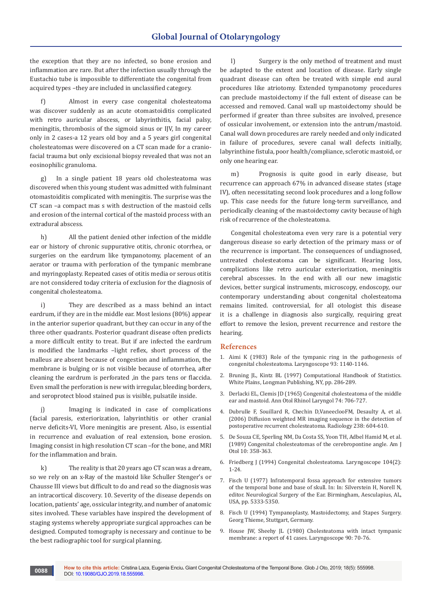the exception that they are no infected, so bone erosion and inflammation are rare. But after the infection usually through the Eustachio tube is impossible to differentiate the congenital from acquired types –they are included in unclassified category.

f) Almost in every case congenital cholesteatoma was discover suddenly as an acute otomastoiditis complicated with retro auricular abscess, or labyrinthitis, facial palsy, meningitis, thrombosis of the sigmoid sinus or IJV, In my career only in 2 cases-a 12 years old boy and a 5 years girl congenital cholesteatomas were discovered on a CT scan made for a craniofacial trauma but only excisional biopsy revealed that was not an eosinophilic granuloma.

g) In a single patient 18 years old cholesteatoma was discovered when this young student was admitted with fulminant otomastoiditis complicated with meningitis. The surprise was the CT scan –a compact mas s with destruction of the mastoid cells and erosion of the internal cortical of the mastoid process with an extradural abscess.

h) All the patient denied other infection of the middle ear or history of chronic suppurative otitis, chronic otorrhea, or surgeries on the eardrum like tympanotomy, placement of an aerator or trauma with perforation of the tympanic membrane and myringoplasty. Repeated cases of otitis media or serous otitis are not considered today criteria of exclusion for the diagnosis of congenital cholesteatoma.

i) They are described as a mass behind an intact eardrum, if they are in the middle ear. Most lesions (80%) appear in the anterior superior quadrant, but they can occur in any of the three other quadrants. Posterior quadrant disease often predicts a more difficult entity to treat. But if are infected the eardrum is modified the landmarks –light reflex, short process of the malleus are absent because of congestion and inflammation, the membrane is bulging or is not visible because of otorrhea, after cleaning the eardrum is perforated ,in the pars tens or flaccida. Even small the perforation is new with irregular, bleeding borders, and seroprotect blood stained pus is visible, pulsatile inside.

j) Imaging is indicated in case of complications (facial paresis, exteriorization, labyrinthitis or other cranial nerve deficits-VI, Vlore meningitis are present. Also, is essential in recurrence and evaluation of real extension, bone erosion. Imaging consist in high resolution CT scan –for the bone, and MRI for the inflammation and brain.

k) The reality is that 20 years ago CT scan was a dream, so we rely on an x-Ray of the mastoid like Schuller Stenger's or Chausse III views but difficult to do and read so the diagnosis was an intracortical discovery. 10. Severity of the disease depends on location, patients' age, ossicular integrity, and number of anatomic sites involved. These variables have inspired the development of staging systems whereby appropriate surgical approaches can be designed. Computed tomography is necessary and continue to be the best radiographic tool for surgical planning.

l) Surgery is the only method of treatment and must be adapted to the extent and location of disease. Early single quadrant disease can often be treated with simple end aural procedures like atriotomy. Extended tympanotomy procedures can preclude mastoidectomy if the full extent of disease can be accessed and removed. Canal wall up mastoidectomy should be performed if greater than three subsites are involved, presence of ossicular involvement, or extension into the antrum/mastoid. Canal wall down procedures are rarely needed and only indicated in failure of procedures, severe canal wall defects initially, labyrinthine fistula, poor health/compliance, sclerotic mastoid, or only one hearing ear.

m) Prognosis is quite good in early disease, but recurrence can approach 67% in advanced disease states (stage IV), often necessitating second look procedures and a long follow up. This case needs for the future long-term surveillance, and periodically cleaning of the mastoidectomy cavity because of high risk of recurrence of the cholesteatoma.

Congenital cholesteatoma even very rare is a potential very dangerous disease so early detection of the primary mass or of the recurrence is important. The consequences of undiagnosed, untreated cholesteatoma can be significant. Hearing loss, complications like retro auricular exteriorization, meningitis cerebral abscesses. In the end with all our new imagistic devices, better surgical instruments, microscopy, endoscopy, our contemporary understanding about congenital cholesteatoma remains limited. controversial, for all otologist this disease it is a challenge in diagnosis also surgically, requiring great effort to remove the lesion, prevent recurrence and restore the hearing.

### **References**

- 1. [Aimi K \(1983\) Role of the tympanic ring in the pathogenesis of](https://www.ncbi.nlm.nih.gov/pubmed/6888124)  [congenital cholesteatoma. Laryngoscope 93: 1140-1146.](https://www.ncbi.nlm.nih.gov/pubmed/6888124)
- 2. Bruning JL, Kintz BL (1997) Computational Handbook of Statistics. White Plains, Longman Publishing, NY, pp. 286-289.
- 3. [Derlacki EL, Clemis JD \(1965\) Congenital cholesteatoma of the middle](https://www.ncbi.nlm.nih.gov/pubmed/5834665)  [ear and mastoid. Ann Otol Rhinol Laryngol 74: 706-727.](https://www.ncbi.nlm.nih.gov/pubmed/5834665)
- 4. [Dubrulle F, Souillard R, Chechin D,VaneeclooFM, Desaulty A, et al.](https://www.ncbi.nlm.nih.gov/pubmed/16304085)  [\(2006\) Diffusion weighted MR imaging sequence in the detection of](https://www.ncbi.nlm.nih.gov/pubmed/16304085)  [postoperative recurrent cholesteatoma. Radiology 238: 604-610](https://www.ncbi.nlm.nih.gov/pubmed/16304085).
- 5. [De Souza CE, Sperling NM, Da Costa SS, Yoon TH, Adbel Hamid M, et al.](https://www.ncbi.nlm.nih.gov/pubmed/2817105)  [\(1989\) Congenital cholesteatomas of the cerebropontine angle. Am J](https://www.ncbi.nlm.nih.gov/pubmed/2817105)  [Otol 10: 358-363.](https://www.ncbi.nlm.nih.gov/pubmed/2817105)
- 6. [Friedberg J \(1994\) Congenital cholesteatoma. Laryngoscope 104\(2\):](https://www.ncbi.nlm.nih.gov/pubmed/8127199)  [1-24.](https://www.ncbi.nlm.nih.gov/pubmed/8127199)
- 7. Fisch U (1977) Infratemporal fossa approach for extensive tumors of the temporal bone and base of skull. In: In: Silverstein H, Norell N, editor. Neurological Surgery of the Ear. Birmingham, Aesculapius, AL, USA, pp. 5333-5350.
- 8. Fisch U (1994) Tympanoplasty, Mastoidectomy, and Stapes Surgery. Georg Thieme, Stuttgart, Germany.
- 9. [House JW, Sheehy JL \(1980\) Cholesteatoma with intact tympanic](https://www.ncbi.nlm.nih.gov/pubmed/7188710)  [membrane: a report of 41 cases. Laryngoscope 90: 70-76.](https://www.ncbi.nlm.nih.gov/pubmed/7188710)